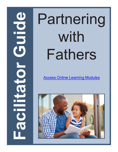# with Fathers

[Access Online Learning Modules](https://www.easternct.edu/center-for-early-childhood-education/online-learning-modules.html)

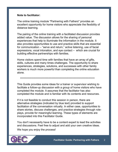#### **Note to facilitator:**

The online training module "Partnering with Fathers" provides an excellent opportunity for home visitors who appreciate the flexibility of distance learning.

The pairing of the online training with a facilitated discussion provides added value. The discussion allows for the sharing of personal experiences that help to illuminate the information in the module. It also provides opportunities to use and practice skills that are essential for communication – "serve and return," active listening, use of facial expressions, vocal intonation, and eye contact – which are crucial for building effective partnerships with families.

Home visitors spend time with families that have an array of gifts, skills, cultures and many times challenges. The opportunity to share experiences, strategies, solutions, and successes with other family workers is much more powerful than completing the online education alone.

```
*************************************************************************
```
This Guide provides some ideas for a trainer or supervisor wishing to facilitate a follow-up discussion with a group of home visitors who have completed the module. It assumes that the facilitator has also completed the module and is familiar with its contents and resources.

If it is not feasible to conduct this session in person, there are alternative strategies (indicated by blue text) provided to support facilitation of the conversation virtually. In either case, opportunities to share stories, discuss challenges, and practice strategies through roleplays, provide for meaningful learning. These types of elements are incorporated into this Facilitator Guide.

You don't necessarily have to be a content expert to lead the activities and discussions. Feel free to adjust and add your own creative ideas.

We hope you enjoy the process!

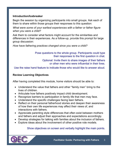#### **Introduction/Icebreaker**

Begin the session by organizing participants into small groups. Ask each of them to share within those groups their responses to this question:

*What were some of your earliest experiences with a father or father figure when you were a child?*

Ask them to consider what factors might account for the similarities and differences in their experiences. As a follow-up, provide this prompt for large group discussion:

*How have fathering practices changed since you were a child?*

Pose questions to the whole group. Participants could type their responses to the first question in chat.

> Optional: Invite them to share images of their fathers or other men who were influential in their lives.

Use the raise hand feature to indicate those who would like to answer aloud.

## **Review Learning Objectives**

After having completed this module, home visitors should be able to:

- Understand the value that fathers and other "family men" bring to the lives of children.
- Articulate how fathers positively impact child development.
- Recognize barriers to participation in family life that men may face.
- Understand the specific challenges facing teen fathers.
- Reflect on their personal fatherhood stories and deepen their awareness of how their own life experiences may affect their views of, and interactions with fathers.
- Appreciate parenting style differences that often exist between mothers and fathers and adjust their approaches and expectations accordingly.
- Develop strategies for talking with families about the inclusion of fathers.
- Explore ideas about the involvement of other positive role models.

## Show objectives on screen and verbally highlight the main points.

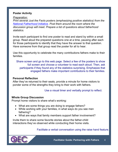## **Poster Activity**

*Preparation:*

*Print several Just the Facts posters (emphasizing positive statistics) from the N[ational Fatherhood Initiative. Po](https://www.fatherhood.org/father-absence-statistic)st them around the room where the discussion group will meet. Prepare a list of questions about fatherhood statistics.* 

Invite each participant to find one poster to read and stand by within a small group. Read aloud the prepared questions one at a time, pausing after each for those participants to identify that they have the answer to that question. Have someone from that group read the poster for all to hear.

Use this opportunity to celebrate the many contributions fathers make to their families.

Share screen and go to this web page. Select a few of the posters to show full screen and choose a volunteer to read each aloud. Then, ask participants if they found any of the statistics surprising. Emphasize that engaged fathers make important contributions to their families.

## **Personal Reflection**

After they've returned to their seats, provide a minute for home visitors to ponder some of the strengths they bring to their work with fathers.

Use a visual timer and verbally prompt to reflect.

## **Whole Group Discussion**

Prompt home visitors to share what's working:

- What are some things you are doing to engage fathers?
- While working with your families, in what ways do you see men fathering?
- What are ways that family members support father involvement?

Invite them to share some favorite stories about the father-child interactions they've observed while conducting their home visits.

Facilitate a verbal conversation using the raise hand feature.

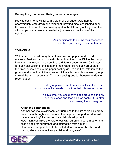## **Survey the group about their greatest challenges**

Provide each home visitor with a blank slip of paper. Ask them to anonymously write down one thing that they find most challenging about this work. Then, while they are engaged in the following activity, read the slips so you can make any needed adjustments to the focus of the training.

> Ask participants to submit their responses directly to you through the chat feature.

## **Walk About**

Write each of the following three items on chart papers and provide markers. Post each chart on walls throughout the room. Divide the group into 3 and have each group begin at a different paper. Allow 10 minutes for each discussion of the item and then rotate. Have each group add their responses/ideas to the paper as they go. Do one final rotation so the groups end up at their initial question. Allow a few minutes for each group to read the list of responses. Then ask each group to choose one idea to report out on.

> Divide group into 3 breakout rooms. Have them use and share white boards to capture their discussion notes.

To save time, you could have each group tackle only one topic each and then discuss each in turn after reconvening the whole group.

## 1. **A father's contribution**

A father can make significant contributions to the life of his child from conception through adolescence. His help and support for Mom will have a meaningful impact on his child's development. How might you raise the awareness with parents about a mother and child's need for nurturance and affirmation from a man? How do you support dads to be included in caring for the child and making decisions about early childhood programs?

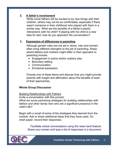## **2. A father's involvement**

While some fathers will be excited to try new things with their children, others may not be as comfortable, especially if there wasn't someone in their childhood who played with them in a similar way. What are the benefits of a father's playful interactions with his child? If playing with his child is a new idea for dad, how do you approach the conversation?

## **3. Expression of differences in parenting**

Although gender roles are not set in stone, men and women often bring different strengths to the job of parenting. Areas where fathers and mothers might differ in their approach to parenting include:

- Engagement in active and/or outdoor play
- Boundary setting
- Communication
- Emotional expression

Choose one of these items and discuss how you might provide parents with insight and affirmation about the benefits of each of their approaches.

## **Whole Group Discussion**

#### Building Relationships with Fathers

Invite a conversation with this prompt: *What are some partnering strategies for building relationships with fathers and other family men who are a significant presence in the child's life?*

Begin with a recall of some of the strategies they learned from the module. Ask to share additional ideas that they have used. On chart paper, record their responses.

> Facilitate verbal conversations using the raise hand feature. Share your screen and type a list of responses in a document.

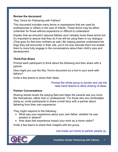### **Review the document:**

"Key Terms for Partnering with Fathers"

This document includes many terms or expressions that are used by professionals or others in the care of infants. These terms may be either unfamiliar for those without experience or difficult to understand.

Explain that we shouldn't assume fathers won't already know these terms but it's important to assure that they do if we will be using them in our dialogue. (That goes for first time mothers as well.) By helping parents understand the lingo they will encounter in their role, you'll not only educate them but enable them to more fully engage in the conversations about their child's care and development.

## **Think-Pair-Share**

Prompt each participant to think about the following and then share with a partner.

*How might you use the Key Terms document as a tool in your work with fathers?*

Invite a few teams to share their ideas.

Prompt the whole group to ponder and use the raise hand feature to allow sharing of ideas.

#### **Partner Conversations**

Sharing stories levels the playing field and helps the parents see you more like themselves, rather than a "professional." For those who are comfortable doing so, invite participants to share a brief story with a partner about fathering from their own experience.

They might respond to the following:

- What was your experience about your own father, whether he was present or absent?
- How does that experience impact your work as a home visitor?

Invite a few teams to share their insights with the group.

Use break out rooms to partner people up.

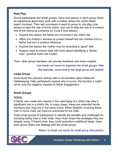# **Role Play**

Divide participants into small groups. Have one person in each group share an experience about their work with a mother where the child's father wasn't involved. Then ask volunteers in each to group to role play (one person to take the role of home visitor, and one to take the role of a mother) one of the following scenarios (or more if time allows):

- Explore the reason the father isn't involved in the child's life.
- Affirm the mother's decision to protect herself and her children from a father that isn't a positive influence.
- Explore the reason the mother may be excluding a "good" dad.
- Explore ways to broach idea with mom about identifying a "family man" (positive male role model).

Then, other group members can provide feedback and share insights.

Use break out rooms to organize into small groups. After this exercise, reconvene to the large group and debrief.

## **Large Group**

Summarize the previous activity with a conversation about Maternal Gatekeeping. Help participants explore why it occurs, the function it might serve, and the negative impacts on father engagement.

## **Small Groups**

#### **Activity**

A family man (male who assists in the upbringing of a child) may play a significant role in a child's life. In many cases, these are extended family members who may live in the same home. When feasible, involving these men in home visits can improve outcomes for the child.

Invite small groups of participants to identify the benefits and challenges for including family men in their visits. Have them share the strategies they are already using. If there's time, they could brainstorm additional ideas. Have each group share one strategy with the whole group.

Return to break out rooms for small group discussions.

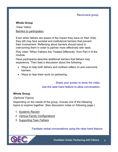# **Whole Group**

*(View Video)* Barriers to participation

Even when fathers are aware of the impact they have on their child, they still may face societal and institutional barriers that prevent their involvement. Reflecting about barriers should result in overcoming them in order to partner more effectively with dads.

Play video "When Fathers Are Treated Differently" from Part 4 of the module.

Have participants describe additional barriers that fathers may experience. Then lead a discussion about the following:

- Ways to help both fathers and mothers reflect on and overcome barriers.
- Ways to help them work on partnering.

Share your screen to show the video. Use the raise hand feature to allow conversation.

## **Whole Group**

#### *(Optional Topics)*

Depending on the needs of the group, choose one of the following topics to explore together. (See discussion notes on following page.)

- 1. Systemic Racism
- 2. Various Family Configurations
- 3. Supporting Teen Fathers

Facilitate verbal conversations using the raise hand feature.

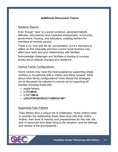# **Additional Discussion Topics**

### Systemic Racism

Even though "race" is a social construct, persistent beliefs, attitudes, and policies have impacted employment, community, government, housing, and education, creating barriers for members of minority groups.

There is no "one size fits all" conversation, but it's important to reflect on this inequality and how current racial tensions may affect your work and your relationships with families.

Acknowledge challenges and facilitate a sharing of success stories about attitude changes and resilience.

## Various Family Configurations

Home visitors may have the most experience supporting single mothers or households with a mother and father present. What about other family configurations? How should the strategies we've discussed be adjusted to ensure we're supporting all families including those with:

- single fathers,
- t  $A$  $\mathcal{C}\mathcal{D}'$   $\bullet$  ,
- t<sub>r</sub> $[A \mid \alpha \otimes \cdot \cdot]$
- g¦æ) å  $\partial_0$  and  $\partial_0$  and  $\partial_1$   $\partial_2$   $\partial_3$  and  $\partial_4$   $\partial_5$  and  $\partial_6$   $\partial_7$   $\partial_8$   $\partial_8$   $\partial_7$

## Supporting Teen Fathers

Teen fathers face a unique set of challenges. Home visitors need to consider the relationship these dads have with their child's mother, their level of maturity and preparedness for this role, the lack of resources they likely bring to the situation, and the feelings and wishes of the grandparents.